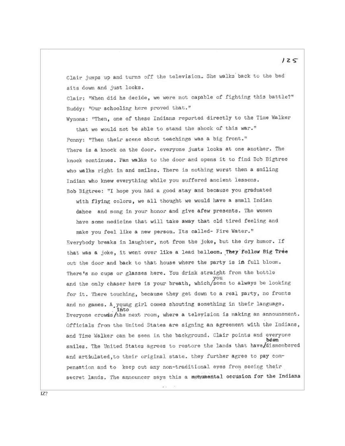Clair jumps up and turns off the television. She walks back to the bed aits down and just looks.

 $125$ 

Clair: "When did he decide, we were not capable of fighting this battle?" Buddy: "Our schooling here proved that."

Wynona: "Then, one of these Indians reported directly to the Time Walker that we would not be able to stand the shock of this war."

Penny: "Then their scene about teachings was a big front." There is a knock on the door. everyone justs looks at one another. The knock continues. Pam walks to the door and opens it to find Bob Bigtree who walks right in and smiles. There is nothing worst then a smiling Indian who knew everything while you suffered ancient lessons. Bob Bigtree: "I hope you had a good stay and because you graduated

with flying colors, we all thought we would have a small Indian dance and song in your honor and give afew presents. The women have some medicine that will take away that old tired feeling and

make you feel like a new person. Its called- Fire Water." Everybody breaks in laughter, not from the joke, but the dry humor. If that was a joke, it went over like a lead balloon. They follow Big Tree out the door and back to that house where the party is in full bloom. There's no cups or glasses here. You drink straight from the bottle and the only chaser here is your breath, which/seem to always be looking for it. There touching, because they get down to a real party, no fronts and no games. A young girl comes shouting something in their language. into Everyone crowds/the next room, where a television is making an announement. Officials from the United States are signing an agreement with the Indians, and Time Walker can be seen in the background. Clair points and everyone béen smiles. The United States agrees to restore the lands that have/dismembered and articlated, to their original state. they further agree to pay compensation and to keep out any non-traditional eyes from seeing their secret lands. The announcer says this a monumental occusion for the Indians